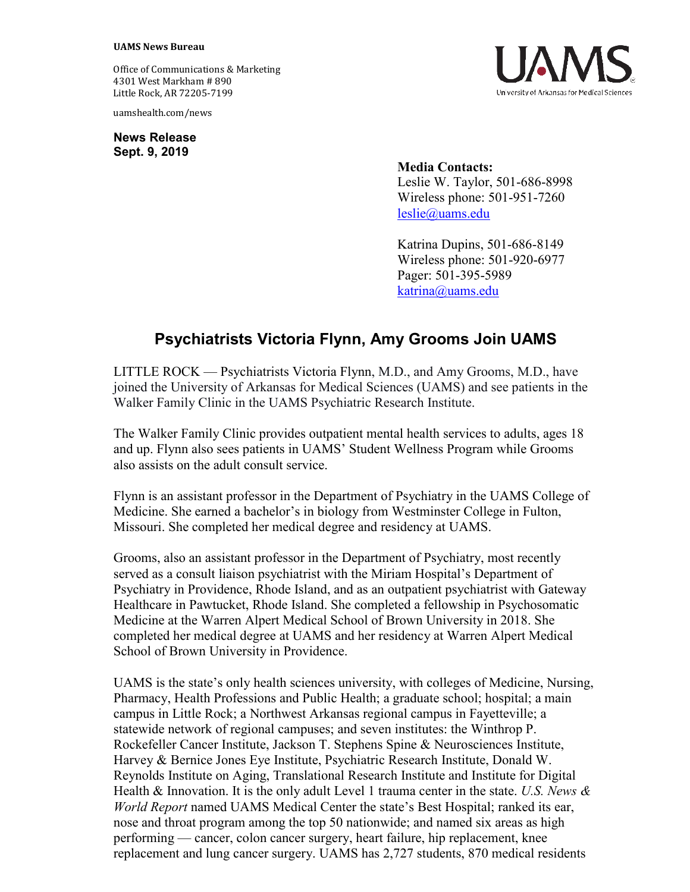## **UAMS News Bureau**

Office of Communications & Marketing 4301 West Markham # 890 Little Rock, AR 72205-7199

uamshealth.com/news

**News Release Sept. 9, 2019**



**Media Contacts:** Leslie W. Taylor, 501-686-8998 Wireless phone: 501-951-7260 [leslie@uams.edu](mailto:leslie@uams.edu)

Katrina Dupins, 501-686-8149 Wireless phone: 501-920-6977 Pager: 501-395-5989 [katrina@uams.edu](mailto:katrina@uams.edu)

## **Psychiatrists Victoria Flynn, Amy Grooms Join UAMS**

LITTLE ROCK — Psychiatrists Victoria Flynn, M.D., and Amy Grooms, M.D., have joined the University of Arkansas for Medical Sciences (UAMS) and see patients in the Walker Family Clinic in the UAMS Psychiatric Research Institute.

The Walker Family Clinic provides outpatient mental health services to adults, ages 18 and up. Flynn also sees patients in UAMS' Student Wellness Program while Grooms also assists on the adult consult service.

Flynn is an assistant professor in the Department of Psychiatry in the UAMS College of Medicine. She earned a bachelor's in biology from Westminster College in Fulton, Missouri. She completed her medical degree and residency at UAMS.

Grooms, also an assistant professor in the Department of Psychiatry, most recently served as a consult liaison psychiatrist with the Miriam Hospital's Department of Psychiatry in Providence, Rhode Island, and as an outpatient psychiatrist with Gateway Healthcare in Pawtucket, Rhode Island. She completed a fellowship in Psychosomatic Medicine at the Warren Alpert Medical School of Brown University in 2018. She completed her medical degree at UAMS and her residency at Warren Alpert Medical School of Brown University in Providence.

UAMS is the state's only health sciences university, with colleges of Medicine, Nursing, Pharmacy, Health Professions and Public Health; a graduate school; hospital; a main campus in Little Rock; a Northwest Arkansas regional campus in Fayetteville; a statewide network of regional campuses; and seven institutes: the Winthrop P. Rockefeller Cancer Institute, Jackson T. Stephens Spine & Neurosciences Institute, Harvey & Bernice Jones Eye Institute, Psychiatric Research Institute, Donald W. Reynolds Institute on Aging, Translational Research Institute and Institute for Digital Health & Innovation. It is the only adult Level 1 trauma center in the state. *U.S. News & World Report* named UAMS Medical Center the state's Best Hospital; ranked its ear, nose and throat program among the top 50 nationwide; and named six areas as high performing — cancer, colon cancer surgery, heart failure, hip replacement, knee replacement and lung cancer surgery. UAMS has 2,727 students, 870 medical residents